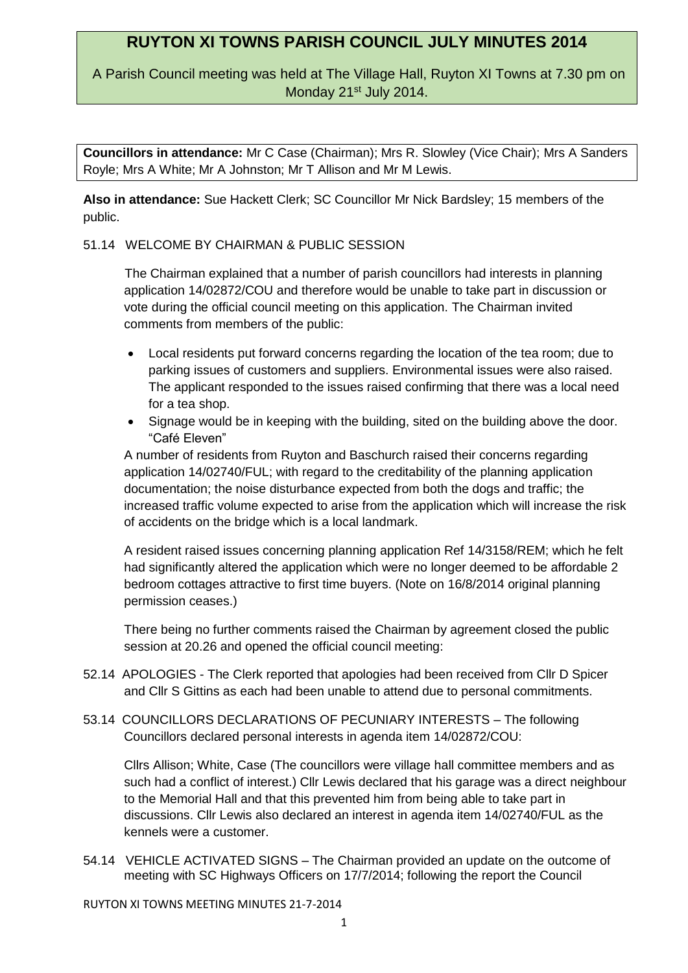# **RUYTON XI TOWNS PARISH COUNCIL JULY MINUTES 2014**

A Parish Council meeting was held at The Village Hall, Ruyton XI Towns at 7.30 pm on Monday 21<sup>st</sup> July 2014.

**Councillors in attendance:** Mr C Case (Chairman); Mrs R. Slowley (Vice Chair); Mrs A Sanders Royle; Mrs A White; Mr A Johnston; Mr T Allison and Mr M Lewis.

**Also in attendance:** Sue Hackett Clerk; SC Councillor Mr Nick Bardsley; 15 members of the public.

### 51.14 WELCOME BY CHAIRMAN & PUBLIC SESSION

The Chairman explained that a number of parish councillors had interests in planning application 14/02872/COU and therefore would be unable to take part in discussion or vote during the official council meeting on this application. The Chairman invited comments from members of the public:

- Local residents put forward concerns regarding the location of the tea room; due to parking issues of customers and suppliers. Environmental issues were also raised. The applicant responded to the issues raised confirming that there was a local need for a tea shop.
- Signage would be in keeping with the building, sited on the building above the door. "Café Eleven"

A number of residents from Ruyton and Baschurch raised their concerns regarding application 14/02740/FUL; with regard to the creditability of the planning application documentation; the noise disturbance expected from both the dogs and traffic; the increased traffic volume expected to arise from the application which will increase the risk of accidents on the bridge which is a local landmark.

A resident raised issues concerning planning application Ref 14/3158/REM; which he felt had significantly altered the application which were no longer deemed to be affordable 2 bedroom cottages attractive to first time buyers. (Note on 16/8/2014 original planning permission ceases.)

There being no further comments raised the Chairman by agreement closed the public session at 20.26 and opened the official council meeting:

- 52.14 APOLOGIES The Clerk reported that apologies had been received from Cllr D Spicer and Cllr S Gittins as each had been unable to attend due to personal commitments.
- 53.14 COUNCILLORS DECLARATIONS OF PECUNIARY INTERESTS The following Councillors declared personal interests in agenda item 14/02872/COU:

Cllrs Allison; White, Case (The councillors were village hall committee members and as such had a conflict of interest.) Cllr Lewis declared that his garage was a direct neighbour to the Memorial Hall and that this prevented him from being able to take part in discussions. Cllr Lewis also declared an interest in agenda item 14/02740/FUL as the kennels were a customer.

54.14 VEHICLE ACTIVATED SIGNS – The Chairman provided an update on the outcome of meeting with SC Highways Officers on 17/7/2014; following the report the Council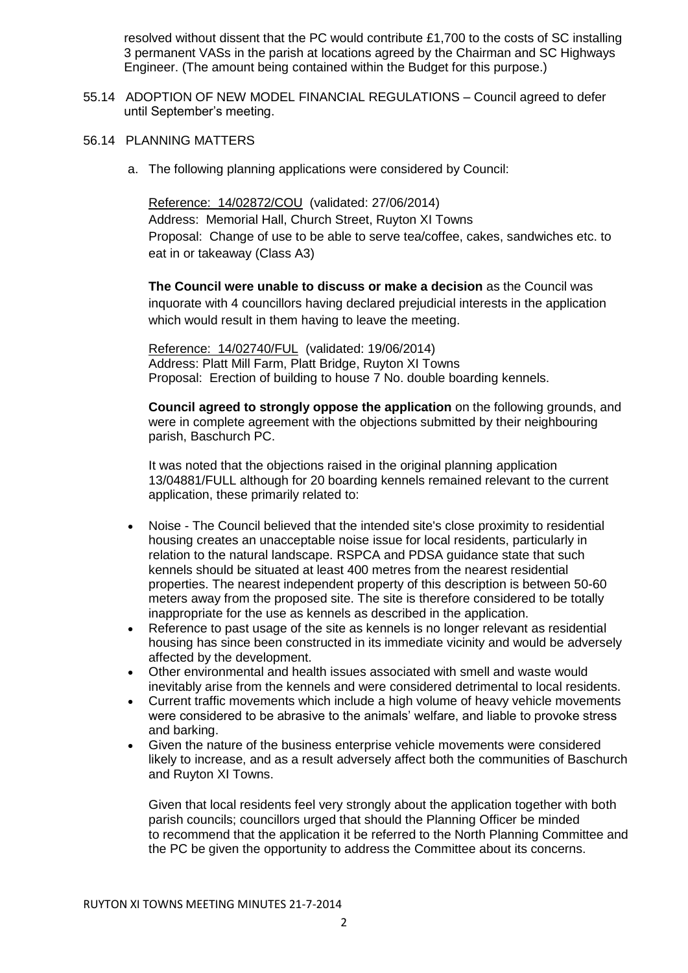resolved without dissent that the PC would contribute £1,700 to the costs of SC installing 3 permanent VASs in the parish at locations agreed by the Chairman and SC Highways Engineer. (The amount being contained within the Budget for this purpose.)

- 55.14 ADOPTION OF NEW MODEL FINANCIAL REGULATIONS Council agreed to defer until September's meeting.
- 56.14 PLANNING MATTERS
	- a. The following planning applications were considered by Council:

Reference: 14/02872/COU (validated: 27/06/2014) Address: Memorial Hall, Church Street, Ruyton XI Towns Proposal: Change of use to be able to serve tea/coffee, cakes, sandwiches etc. to eat in or takeaway (Class A3)

**The Council were unable to discuss or make a decision** as the Council was inquorate with 4 councillors having declared prejudicial interests in the application which would result in them having to leave the meeting.

Reference: 14/02740/FUL (validated: 19/06/2014) Address: Platt Mill Farm, Platt Bridge, Ruyton XI Towns Proposal: Erection of building to house 7 No. double boarding kennels.

**Council agreed to strongly oppose the application** on the following grounds, and were in complete agreement with the objections submitted by their neighbouring parish, Baschurch PC.

It was noted that the objections raised in the original planning application 13/04881/FULL although for 20 boarding kennels remained relevant to the current application, these primarily related to:

- Noise The Council believed that the intended site's close proximity to residential housing creates an unacceptable noise issue for local residents, particularly in relation to the natural landscape. RSPCA and PDSA guidance state that such kennels should be situated at least 400 metres from the nearest residential properties. The nearest independent property of this description is between 50-60 meters away from the proposed site. The site is therefore considered to be totally inappropriate for the use as kennels as described in the application.
- Reference to past usage of the site as kennels is no longer relevant as residential housing has since been constructed in its immediate vicinity and would be adversely affected by the development.
- Other environmental and health issues associated with smell and waste would inevitably arise from the kennels and were considered detrimental to local residents.
- Current traffic movements which include a high volume of heavy vehicle movements were considered to be abrasive to the animals' welfare, and liable to provoke stress and barking.
- Given the nature of the business enterprise vehicle movements were considered likely to increase, and as a result adversely affect both the communities of Baschurch and Ruyton XI Towns.

Given that local residents feel very strongly about the application together with both parish councils; councillors urged that should the Planning Officer be minded to recommend that the application it be referred to the North Planning Committee and the PC be given the opportunity to address the Committee about its concerns.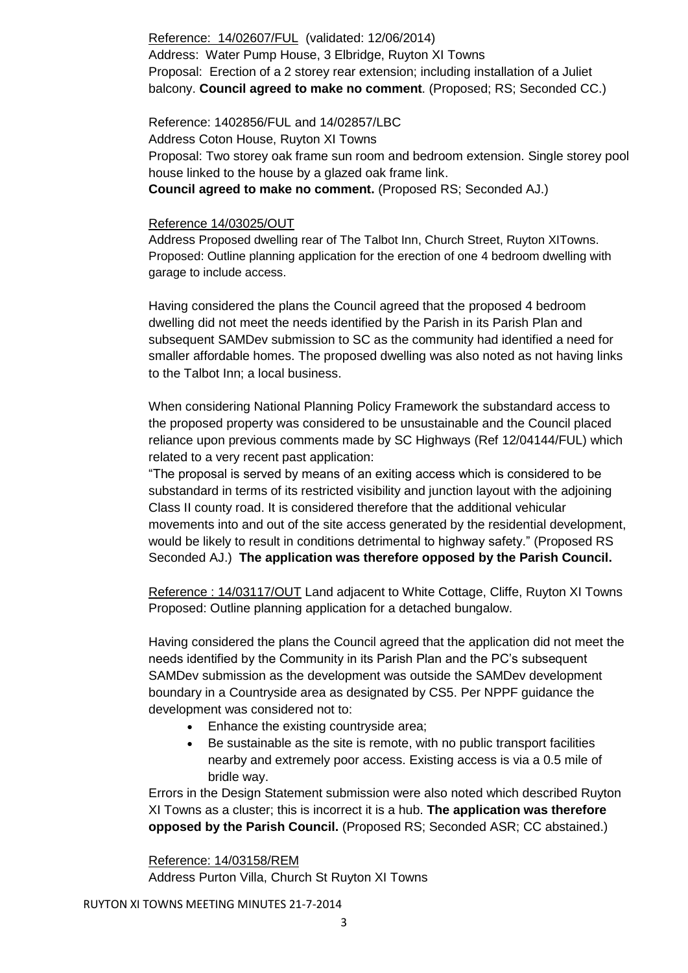## Reference: 14/02607/FUL (validated: 12/06/2014) Address: Water Pump House, 3 Elbridge, Ruyton XI Towns Proposal: Erection of a 2 storey rear extension; including installation of a Juliet balcony. **Council agreed to make no comment**. (Proposed; RS; Seconded CC.)

Reference: 1402856/FUL and 14/02857/LBC Address Coton House, Ruyton XI Towns Proposal: Two storey oak frame sun room and bedroom extension. Single storey pool house linked to the house by a glazed oak frame link. **Council agreed to make no comment.** (Proposed RS; Seconded AJ.)

## Reference 14/03025/OUT

Address Proposed dwelling rear of The Talbot Inn, Church Street, Ruyton XITowns. Proposed: Outline planning application for the erection of one 4 bedroom dwelling with garage to include access.

Having considered the plans the Council agreed that the proposed 4 bedroom dwelling did not meet the needs identified by the Parish in its Parish Plan and subsequent SAMDev submission to SC as the community had identified a need for smaller affordable homes. The proposed dwelling was also noted as not having links to the Talbot Inn; a local business.

When considering National Planning Policy Framework the substandard access to the proposed property was considered to be unsustainable and the Council placed reliance upon previous comments made by SC Highways (Ref 12/04144/FUL) which related to a very recent past application:

"The proposal is served by means of an exiting access which is considered to be substandard in terms of its restricted visibility and junction layout with the adjoining Class II county road. It is considered therefore that the additional vehicular movements into and out of the site access generated by the residential development, would be likely to result in conditions detrimental to highway safety." (Proposed RS Seconded AJ.) **The application was therefore opposed by the Parish Council.**

Reference : 14/03117/OUT Land adjacent to White Cottage, Cliffe, Ruyton XI Towns Proposed: Outline planning application for a detached bungalow.

Having considered the plans the Council agreed that the application did not meet the needs identified by the Community in its Parish Plan and the PC's subsequent SAMDev submission as the development was outside the SAMDev development boundary in a Countryside area as designated by CS5. Per NPPF guidance the development was considered not to:

- Enhance the existing countryside area;
- Be sustainable as the site is remote, with no public transport facilities nearby and extremely poor access. Existing access is via a 0.5 mile of bridle way.

Errors in the Design Statement submission were also noted which described Ruyton XI Towns as a cluster; this is incorrect it is a hub. **The application was therefore opposed by the Parish Council.** (Proposed RS; Seconded ASR; CC abstained.)

#### Reference: 14/03158/REM

Address Purton Villa, Church St Ruyton XI Towns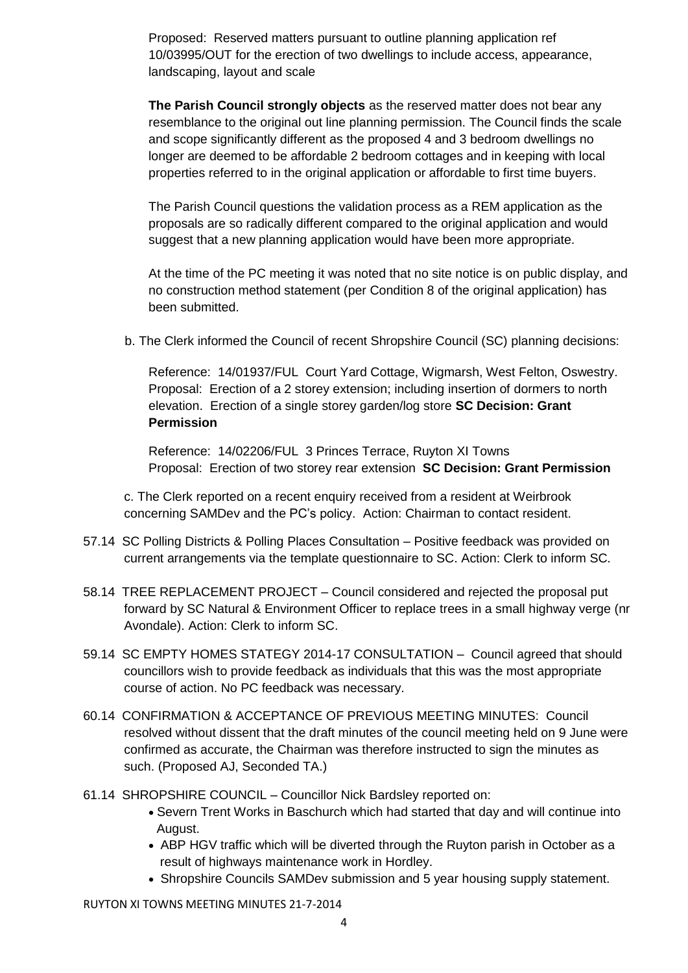Proposed: Reserved matters pursuant to outline planning application ref 10/03995/OUT for the erection of two dwellings to include access, appearance, landscaping, layout and scale

**The Parish Council strongly objects** as the reserved matter does not bear any resemblance to the original out line planning permission. The Council finds the scale and scope significantly different as the proposed 4 and 3 bedroom dwellings no longer are deemed to be affordable 2 bedroom cottages and in keeping with local properties referred to in the original application or affordable to first time buyers.

The Parish Council questions the validation process as a REM application as the proposals are so radically different compared to the original application and would suggest that a new planning application would have been more appropriate.

At the time of the PC meeting it was noted that no site notice is on public display, and no construction method statement (per Condition 8 of the original application) has been submitted.

b. The Clerk informed the Council of recent Shropshire Council (SC) planning decisions:

Reference: 14/01937/FUL Court Yard Cottage, Wigmarsh, West Felton, Oswestry. Proposal: Erection of a 2 storey extension; including insertion of dormers to north elevation. Erection of a single storey garden/log store **SC Decision: Grant Permission**

Reference: 14/02206/FUL 3 Princes Terrace, Ruyton XI Towns Proposal: Erection of two storey rear extension **SC Decision: Grant Permission**

c. The Clerk reported on a recent enquiry received from a resident at Weirbrook concerning SAMDev and the PC's policy. Action: Chairman to contact resident.

- 57.14 SC Polling Districts & Polling Places Consultation Positive feedback was provided on current arrangements via the template questionnaire to SC. Action: Clerk to inform SC.
- 58.14 TREE REPLACEMENT PROJECT Council considered and rejected the proposal put forward by SC Natural & Environment Officer to replace trees in a small highway verge (nr Avondale). Action: Clerk to inform SC.
- 59.14 SC EMPTY HOMES STATEGY 2014-17 CONSULTATION Council agreed that should councillors wish to provide feedback as individuals that this was the most appropriate course of action. No PC feedback was necessary.
- 60.14 CONFIRMATION & ACCEPTANCE OF PREVIOUS MEETING MINUTES: Council resolved without dissent that the draft minutes of the council meeting held on 9 June were confirmed as accurate, the Chairman was therefore instructed to sign the minutes as such. (Proposed AJ, Seconded TA.)
- 61.14 SHROPSHIRE COUNCIL Councillor Nick Bardsley reported on:
	- Severn Trent Works in Baschurch which had started that day and will continue into August.
	- ABP HGV traffic which will be diverted through the Ruyton parish in October as a result of highways maintenance work in Hordley.
	- Shropshire Councils SAMDev submission and 5 year housing supply statement.

RUYTON XI TOWNS MEETING MINUTES 21-7-2014